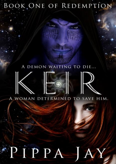# BOOK ONE OF REDEMPTION

# A DEMON WAITING TO DIE...



# A WOMAN DETERMINED TO SAVE HIM.

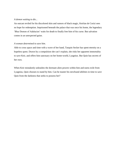### *A demon waiting to die...*

An outcast reviled for his discolored skin and rumors of black magic, Keirlan de Corizi sees no hope for redemption. Imprisoned beneath the palace that was once his home, the legendary 'Blue Demon of Adalucien' waits for death to finally free him of his curse. But salvation comes in an unexpected guise.

### *A woman determined to save him.*

Able to cross space and time with a wave of her hand, Tarquin Secker has spent eternity on a hopeless quest. Drawn by a compulsion she can't explain, she risks her apparent immortality to save Keir, and offers him sanctuary on her home-world, Lyagnius. But Quin has secrets of her own.

When Keir mistakenly unleashes the dormant alien powers within him and earns exile from Lyagnius, Quin chooses to stand by him. Can he master his newfound abilities in time to save Quin from the darkness that seeks to possess her?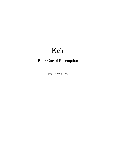# Keir

Book One of Redemption

By Pippa Jay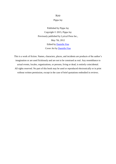## Keir

Pippa Jay

Published by Pippa Jay Copyright © 2015, Pippa Jay Previously published by Lyrical Press Inc., May 7th, 2012 Edited by [Danielle Fine](http://www.daniellefine.com/) Cover Art by [Danielle Fine](http://www.daniellefine.com/)

This is a work of fiction. Names, characters, places, and incidents are products of the author's imagination or are used fictitiously and are not to be construed as real. Any resemblance to actual events, locales, organizations, or persons, living or dead, is entirely coincidental. All rights reserved. No part of this book may be used or reproduced electronically or in print without written permission, except in the case of brief quotations embodied in reviews.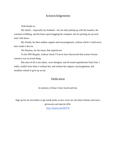# Acknowledgements

With thanks to:

My family—especially my husband—for not only putting up with the insanity, the constant scribbling, and the hours spent hogging the computer, but for picking me up each time I fell down.

My friends, for their endless support and encouragement, without which I could never have made it this far.

The Rasmus, for the music that inspired me.

To the SFR Brigade, without which I'd never have discovered that science fiction romance was an actual thing.

But most of all to my editor, cover designer, and all round superheroine Dani Fine. I really couldn't have done it without her, and without her support, encouragement, and steadfast refusal to give up on me.

# Dedication

In memory of those I have loved and lost.

Sign up for my newsletter to get sneak peeks at new cover art, the latest releases and news, giveaways and special offer.

<http://eepurl.com/IKX7b>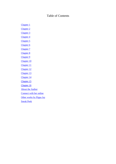# Table of Contents

<span id="page-6-0"></span>[Chapter 1](#page-7-0)

Chapter 2

Chapter 3

Chapter 4

Chapter 5

Chapter 6

Chapter 7

Chapter 8

Chapter 9 Chapter 10

Chapter 11

Chapter 12

Chapter 13

Chapter 14

Chapter 15

Chapter 16

About the Author

Connect with her online

Other works by Pippa Jay

Sneak Peek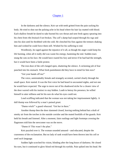## [Chapter 1](#page-6-0)

<span id="page-7-0"></span>In the darkness and the silence, Keir sat with teeth gritted from the pain racking his body. He tried to shut out the pulsing ache in his head where his hair lay matted with blood. Each shallow breath he dared to take burned his raw throat and sent fresh agony spearing into his chest from ribs bruised if not broken. The cell's damp had seeped through his rags and into his skin until he throbbed with the cold. He clenched his fists against the tremors shaking him and wished he could force them still. Wished for his suffering to end.

Wordlessly, he raged against the injustice of it all, as though the anger could keep his life burning, when all it really did was waste his energy, hastening the end. Sudden tears stung the cuts on his face. He would have roared his fury and terror if he had had the strength, but it would have been a futile protest.

The iron door of the cell clanged open, shattering the silence. A sickening jolt of fear punched into his stomach. What fresh punishment did they have in mind for him now?

"Get your hands off me!"

The voice, unmistakably female and strangely accented, carried clearly through the small space. Keir started. It was the first voice he had heard in uncounted nights, and not one he would have expected. The urge to move out of his shadowed niche for a clearer view of the door warred with his instinct to stay hidden. Loath to betray his presence, he willed himself to utter stillness and let his ears do what his eyes could not.

Loud scuffling indicated that the woman was not taking her imprisonment lightly. A dull thump was followed by a man's pained grunt.

"Damn witch!" a guard wheezed. "Get her in there."

Another thump then the door slammed closed, leaving nothing behind but a draft of smoky air from the torches in the outside corridor and the muted footfalls of the guards. Keir held his breath and listened. After a moment, faint rustlings and light footsteps crossing the flagstones told him the newcomer was on the move.

"Damn it! This wasn't the plan."

Keir puzzled over it. The woman sounded amused—and educated, despite the coarseness of the exclamation. But no lady of rank would have been thrown into his cell or used such language.

Sudden light scorched his vision, blinding after the long hours of darkness. He closed his eyes, but it continued to glow blood red through his eyelids. Pain spiked into his head. He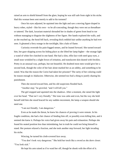raised an arm to shield himself from the glare, hoping he was still safe from sight in his niche. Had this woman been sent merely to add to his torment?

Once his eyes adjusted, he squinted into the light and saw a moving figure draped in heavy robes, styled—like his own—to be all-concealing, though they were not as threadbare or tattered. The dark, luxuriant material shrouded her in shades of green from head to toe without managing to disguise the slightness of her figure. Her hands explored the walls, and as she reached up, the hood fell back, revealing thick reddish hair unlike anything he had ever seen. It gleamed a fiery orange in the torchlight, like a halo of flame.

Curiosity overrode his pain-fogged senses, and he leaned forward. She turned toward him, her gaze skipping across his hiding place as she lifted her lamp higher—the strange light a wand of white fire clutched in one hand. She had a slim, elfin face with steel-gray eyes, a small nose wrinkled by a slight frown of irritation, and translucent skin dusted with freckles. Pretty in an unusual way, perhaps, but not beautiful. He doubted most men would give her a second look, though the color of her hair alone marked her as an oddity, and something to be noted. Was that the reason the Corizi had taken her prisoner? The rarity of her coloring could be reason enough in Adalucien. Otherwise, she seemed too frail a thing to justify sharing his punishment.

Then she moved toward him, and his old suspicions flooded back.

"Another step," he growled, "and I will kill you."

The girl stopped and squinted into the shadows. After a moment, she raised the light over her head. "That isn't very friendly." Her tone was calm and even, but the way she held herself told him she stood braced for any sudden movement, the lamp a weapon should she need one.

"I am not friendly. I am dangerous."

Even as he made the threat, he knew his chances of proving it were remote. In his fragile condition, she had a fair chance of fending him off, or possibly even killing him, and it seemed she knew it. Perhaps his voice had given away his pain and exhaustion. Perhaps she found his seated position less than intimidating, but in truth he could not bring himself to stand. Her posture relaxed a fraction, and she took another step forward, her light invading his niche.

Wincing, he turned his cloth-covered face away.

"You don't look very dangerous." She held her torch like a sword as she drew closer. "You look sick"

He kept his arm raised as if to ward her off, though he shook with the effort of it.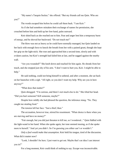"My name's Tarquin Secker," she offered. "But my friends call me Quin. Who are you?"

The words escaped him before he could call them back. "I am Keir."

As if she had somehow mistaken their exchange of names for permission, she crouched before him and held up her free hand, palm outward.

Keir shied back as she reached out to him. Fear and anger lent him a temporary burst of energy, and he shoved her backward. "Do not touch me!"

The blow was not as heavy as he could have normally managed, but Quin landed on her back with enough force to knock the breath from her with a pained grunt, though she kept her grip on the light-stick. She rose and approached him a second time, slowly and with evident caution, but Keir's strength had failed him at last, and he sagged against the nearby wall.

"Are you wounded?" She knelt down and reached for him again. He shrank from her touch, and she stopped just shy of his arm. "I don't want to hurt you, Keir. I might be able to help."

He said nothing, could not bring himself to unbend, and after a moment, she sat back on her haunches with a sigh. "All right, so you don't want my help. Why are you in here anyway?"

"What does that matter?"

Quin shrugged. "I'm curious, and there's not much else to do." She tilted her head. "Did you hurt someone? Kill someone, maybe?"

Despite how mildly she had phrased the question, the inference stung. "No. They caught me stealing food."

The tension left her face. "Just a thief, then."

The accusation, however true, stirred his resentment. "What choice is there when you are starving and have no money?"

"Fair enough, but you did just threaten to kill me, so I wondered..." Quin fiddled with the light-wand in her hand. When she spoke again, her tone seemed musing, as if she spoke more to herself. "And yet you didn't. So I'm guessing you either can't or wouldn't."

*Only a fool would make that assumption.* Keir held his tongue, tired of the discussion. What did it matter now?

"Look, I shouldn't be here. I just want to get out. Maybe that's an idea I can interest you in?"

For a long moment, Keir could think of nothing to say. Escape was inconceivable.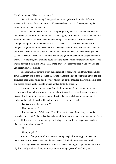Then he muttered, "There is no way out."

"I can always find a way." She gifted him with a grin so full of mischief that it sparked a flicker of life in him. How could someone be so certain of accomplishing the impossible? Was the woman mad?

She rose then moved farther down the passageway, which was lined on either side with archways similar to the one in which he hid. Again, a fragment of curiosity nudged him forward to watch as she assessed their surroundings. The chamber's original purpose was storage—though the door could be locked and barred, it had never been intended as a dungeon. A gutter ran down the center of the passage, trickling dirty water from elsewhere in the fortress through hidden pipes. At the far end, a drain ran beneath a heavy iron grid that sealed off a smaller archway. Behind the barrier, the gutter widened into a deeper channel for waste. Slow-moving, foul-smelling liquid filled the trench, with no indication of how deep it was or how far it extended. Quin's light-wand only cast shadows across it and revealed the unpleasant, oily green color.

She returned her torch to a thin cable around her neck. The wand threw broken light down the length of her dark green robes, casting random flickers of brightness across the dirtencrusted floor as she rolled one sleeve of her robe up to the shoulder. She wrinkled her nose and braced herself as she knelt to plunge her hand into the channel.

The murky liquid reached the edge of the fabric as she groped around in the mire, seeking something below the surface, before she withdrew her arm with a sound of deep distaste. Muttering imprecations under her breath, she rose and shook off as much of the sludge as she could then rubbed herself dry with one corner of her robes.

"Is this a sewer, do you know?"

"Can you not tell?"

"I'm not an expert," Quin said. "For all I know, the water here always reeks like things have died in it." She pushed her light-wand through a gap in the grid, reaching as far as she could. It showed little more than greenish-tinged brickwork and deeper shadows beyond. "Do you know where it leads?"

"No."

"Hmm, helpful."

A twitch of anger spurred him into responding despite his lethargy. "A river runs under the city from west to east, and then out to sea. I think all the sewers feed into it."

"Ah." Quin seemed to consider his words. "Well, trekking through the bowels of the city isn't really my idea of fun, but then, neither is being a guest of the Corizi, so…"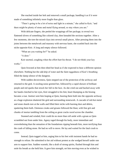She reached inside her belt and removed a small package, handling it as if it were made of something infinitely more fragile than glass.

"There's going to be a lot of noise and light in a minute," she called to Keir, "and there might be plenty of stone and metal flying around, so stay where you are."

With delicate fingers, she peeled the wrappings off her package, to reveal two flattened slivers of something like colored clay, then kneaded the sections together. After a few moments, she tore the mixed clays into several small pieces. After pressing them into the joints between the metalwork and masonry with nervous haste, she scuttled back into the niche opposite Keir. A long and empty silence followed.

"What are you waiting for?" he asked.

"A door."

Keir snorted, coughing when the effort hurt his throat. "I do not think your key works."

Quin frowned at him then tilted her head as if she expected to hear a different opinion elsewhere. Nothing but the odd drip of water and the faint raggedness of Keir's breathing filled the damp silence of the dungeon.

With sudden decisiveness, Quin stepped out of the protection of the archway and returned to the grid. A sizzling noise greeted her, followed by a rapid shower of brilliant purple and red sparks that struck her full in the face. As she cried out and backed away with her hands clutched to her eyes, Keir struggled to his feet, heart thumping as the hissing became a roar. Instinct sent him leaping at Quin, bearing them both into the opposite archway as a huge explosion shattered the grid and surrounding stonework. A cascade of red-hot metal and stone shards tore at the walls and filled their niche with burning dust and debris, spattering them both. Ominous creaks and groans followed the blast, with fine grit and chunks of mortar tumbling from the ceiling as great cracks raced across the chamber.

Stunned and winded, Keir could do no more than roll aside with a groan as Quin scrambled out from under him. Agony raged through his body, more immediate and overwhelming than the sensation of the foundations ripping beneath him, more terrifying than the crash of falling stone. He had no will to move. He lay and waited for the fatal crush to come.

Instead, Quin tugged at him, urging him to his feet with insistent hands he had no strength to refuse. He submitted to her aid without protest as she wedged herself under one arm to support him. Sudden warmth, like a draft of strong spirits, flushed through him and stole his breath as she held him. It gave him strength, set him moving even as he wished to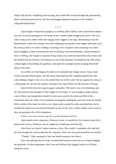simply fall and die. Stumbling and swaying, they made their escape through the plummeting debris and destroyed archway into the waterlogged darkness beyond, as the chamber collapsed behind them.

\* \* \* \*

Quin fought to keep Keir upright as a swelling tide of filthy water chased them deeper into the cavernous passageway. He hung on her, a dead weight dragging her down. Her wet robes clung to her ankles while the surging water tugged at her legs, threatening to trip her. Behind them, walls and ceilings were still collapsing, forcing the water higher and faster until the archway fell in on itself, sending a towering wave of putrid water sweeping over them. Quin struggled as their world became one of choking water and blackness. Hands knotted in Keir's clothing, she fought to stop him being swept away until her head broke the surface and she hauled him up with her. Swimming was out of the question. Swamped by the dark water, without light or knowledge for guidance, she spent her strength merely keeping them both afloat in the mire.

As swiftly as it had begun, the tidal wave subsided into sludgy waves. Soon, Quin could touch the bottom again, and she stood, legs shaking. She collapsed against the side wall, finding a ledge to rest on as she pulled Keir out of the water. He lay against her, limp as a thing dead, but she felt the shallow heaving of his chest before he fell forward, retching.

Quin forced down her urge to gag in sympathy. The stench was overwhelming, and her skin itched at the thought of what might be covering it. It was enough to make anyone want to throw up, though Keir should've been more used to the stink and filth of this civilization than she. After a few moments, he stopped, spitting the foul taste from his mouth. With a shake of his head, he tried to rise. Quin made to grab his robes and help him, but he swatted her hand away and levered himself up next to her. For a while, neither said a word as they sat gasping in the fetid atmosphere.

*Funny, just a few minutes ago he was threatening to kill me…* 

Quin stared at her companion. However ironic, it seemed her first instinct about Keir had proven correct. Whatever else he might be, he had just saved her life.

*One heroic act doesn't make someone a hero.* She couldn't remember who had told her that, though she could remember her response. *Yeah, but one good deed deserves another.*

"Thanks," Quin managed at last, her breath rasping in her throat.

Keir said nothing, but his cloth-covered head turned toward her as if acknowledging her gratitude. In silent agreement, they rose and followed the sluggish water as it flowed along the sewer.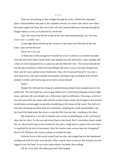\* \* \* \*

Time lost all meaning as they trudged through the water, chilled and exhausted. Quin's head throbbed with pain as she stumbled onward, too numb with cold to care where the tunnel might lead other than out of the cell. Keir seemed oblivious, laboring through the sludge without a word, as if powered by clockwork.

*Ugh.* The stench had left the inside of her nose and mouth burning. *Give me some clean water, a puddle even…*

A pale light ahead etched out the contours of the sewer and reflected off the oily water. Quin hurried forward.

### *Please be a way out.*

A sharp turn in the passageway revealed the sewer's outlet as its contents cascaded from the end of the slime-coated tunnel and splashed into the mire below. Hazy sunlight and a blast of cold wind greeted her as open sea and sky filled her view. The surface beneath her feet became treacherous where time and effluent had worn it away, leaving it dangerously slick, and the water pushed at her relentlessly. Once she'd reassured herself it was only a short drop down, she took a gamble and jumped, jarring her legs on landing. Keir seemed hesitant to follow and lost his grip as he tried to lower himself.

#### *Water!*

Despite the cold and the strong sea winds blowing inland, Quin stripped down to her underwear. The reek made her want to gag. Hades knew what harm prolonged contact might cause, and since she was already wet, a little more made no difference. Choosing a stretch of sea well away from the waste outlet and the swamp it had created, she plunged in and washed herself down as thoroughly as possible, shuddering at the iciness of the water. The chill of it stole the remaining sensation from her extremities, rendering her numb and breathless, but she forced her head under the waves to soak the filth from her hair. Anything to be clean.

She surfaced in a cascade of droplets and a series of painful gasps as the cold burned deep into her chest. As she rose and turned back to the beach, Keir's motionless figure caught her eye. She stared at him as she twisted her hair into a rough knot to squeeze the water from it, mystified by his lack of movement. Were his injuries more serious than she'd imagined? Was he ill? Whatever the reason, perhaps he needed her help.

With the worst of the stench rinsed from her skin, she trudged back to her abandoned clothing and took her tunic from the pile. After a quick sluice in the sea, she wrung it out and tugged it over her head. It was scant improvement, but better than nothing.

*Oh, for a hot bath.* She almost groaned with longing.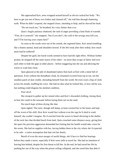She approached Keir, arms wrapped around herself as shivers racked her body. "We have to get you out of those wet clothes and cleaned off," she told him through chattering teeth. When he didn't respond, she stepped closer, intending to help, and he shoved her back.

"Do not touch me," he breathed, his voice fainter than ever.

Quin's fragile patience shattered, the rush of anger providing a faint flush of warmth. "Fine, do it yourself," she snapped, "but if you don't, the cold or the sewage may kill you, and I'll be leaving your corpse here!"

As soon as the words were out of her mouth, she regretted them. Keir stood trembling like a beaten animal, head and shoulders bowed. If she felt weak after their ordeal, how much more had he suffered?

Despite her guilt, her harsh words seemed to have had the right effect. Without further protest, he stripped off the outer layers of his robes—no more than scraps of fabric tied over each other to hide the gaps in other places—before staggering into the sea and allowing the waves to wash him clean.

Quin glanced at the pile of abandoned tatters then back at Keir with a mind full of questions. Even without the threadbare cloak, he remained covered from top to toe, not the smallest patch of skin visible, shrouding himself from the world. He even wore a flap of cloth across his mouth, muffling his voice. She had no idea what he looked like, or how old he was, but nothing could disguise his skeletal condition.

#### *Poor devil.*

She stooped to gather up her ruined robes and Keir's discarded clothing, rinsing them as best she could in the seawater before laying them out on the sand.

*Not much hope of them drying like that.* 

Quin sighed. The tunic, though still damp, at least covered her to the knees and kept off the worst of the chill. How Keir would fare without even the rags he'd shed to wash himself, she couldn't imagine. He'd crawled from the waves to kneel shivering in the shelter of the rock face that divided beach from land. Quin crouched some distance away, giving him the space his previous aggression demanded but fretting that his health would take a turn for the worse. She had no supplies with her, having hidden them in the city where she'd expected to be safe—a naïve assumption that had cost her dearly.

Bereft of even the most meager of useful things, she'd have to find her bearings before they made a move, especially if Keir were unfit to travel far. She had no intention of leaving him behind, despite his first threat to kill her. In the end, he had saved her life by pushing her out of the way when the prison ceiling collapsed, and she owed him that debt if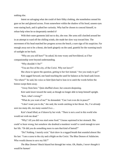nothing else.

Intent on salvaging what she could of their filthy clothing, she nonetheless sensed his gaze on her and glanced across. From somewhere within the shadow of his hood, unseen eyes were staring back, and it spiked her curiosity. Why had he chosen to conceal himself, to refuse help when he so desperately needed it?

With their outer garments laid out to dry, she rose. Her arms still clutched around her in an attempt to ward off the chilling winds, she made her slow way toward him. The movement of his head matched her progress across the beach, a sure sign of his suspicion. Far enough away not to be a threat, she knelt gingerly on the sand, grateful for the warming touch of sunlight on her back.

"Why are you still here?" he asked, his tone weary and bewildered, as if her companionship were beyond understanding.

"Why shouldn't I be?"

"You are free of the city, of the Corizi. Why not leave?"

She chose to ignore the question, getting to her feet instead. "Are you ready to go?"

Keir sagged forward, one hand touching the sand for balance as his head sank lower. "Go where?" he said, his voice so faint Quin had to lean in to catch the words before the breeze swept them away.

"Away from here." Quin shuffled closer, her concern deepening.

Keir sank lower toward the sand, as though no longer able to keep himself upright.

"Keir, what's wrong?"

"What do you want of me?" he demanded. "Can I not even die in peace?"

"I don't want you to die," she said, the words catching in her throat. *No*, *I've already seen too many die, too many wasted lives…*

Keir's head lifted, as if drawn by her wish. "There is not a soul in this world who would not wish me dead."

"Why? All you did was steal some food." Unease squirmed in her stomach. She could've been wrong, but somehow she doubted a murderer would've cared enough to save her life. "Or did you do something more to earn that kind of hatred?"

"Do? Nothing. I merely exist." Keir drew in a ragged breath that sounded almost like his last. "I am a curse to the city and a blight on the Corizi. The Blue Demon of Adalucien. Who would choose to save my life?"

*The Blue Demon!* Shock blazed hot through her veins. *Oh, Hades, I never thought it would be human!*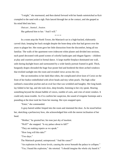"I might," she murmured, and then darted forward with her hands outstretched as Keir crumpled to the sand with a sigh. Pain lanced through her at the contact, and she gasped as his mind bled into hers.

*Outcast…hunted…beaten.*  She gathered him to her. "And I will."

\* \* \* \*

In a room atop the North Tower, the Matriarch sat in a high-backed, elaborately carved chair, keeping her back straight despite the bone-deep ache that had grown over the years to plague her. Her room gave her little distraction from the discomfort, being all too familiar. The walls of the apartment were iridescent white plaster and divided into sections, each panel decorated with pastel scenes of colorful landscapes and elegant figures—children at play and courtiers poised in formal dance. A large marble fireplace dominated one wall, unlit during daylight hours and surmounted by a wide family portrait framed in gold. Thick, burgundy drapes shrouded the huge four-poster bed and bordered the three arched windows that trickled sunlight into the room and revealed views across the city.

She sat motionless in her dark-blue robes, the complicated silver knot of Corizi on the front of her bodice embellished with silver beads and tiny white pearls. The high collar outlined a masculine jawline and an oval face that was wrinkled and haughty. Her long hands lay folded in her lap, and she took slow, deep breaths, listening to her city speak. Hearing something beyond the distant babble of voices, rumble of carts, and cries of street vendors. It could only mean trouble. As if to confirm her suspicion, the sound of irregular footsteps and a pounding at the door took her from her musing. Her eyes snapped open.

"Enter," she commanded.

A gray-haired soldier limped into the room and slammed the door. As he stood before her, sketching a perfunctory bow, she acknowledged him with the merest inclination of her head.

"Mother," he greeted her, his tone just shy of insolent.

"Well?" she snapped. "Is my palace about to fall?"

"They are making repairs as we speak."

"How long will this take?"

"Two days."

The Matriarch grunted, unimpressed. "And the cause?"

"An explosion in the lower levels, causing the sewer beneath the palace to collapse." "Yes, I heard the explosion," she retorted. "I should imagine the whole city heard it."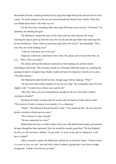She leaned forward, watching intently for any sign that might betray him and put the lie to his words. "No such weapons or devices are stored beneath the North Tower, Rialto. What had you hidden down there? The truth, my son."

For the first time, something other than anger flickered across his face. "Prisoners," he admitted, not meeting her gaze.

The Matriarch clasped the arms of her chair until her nails dug into the wood, resisting the urge to push up from her seat. He was far past the age where she could slap him for his foolishness. "Since when are prisoners kept below the tower?" she demanded. "Why were they not in the holding area?"

"I did not want these two to be seen."

Suspicion coiled into a hard knot in her chest. *Oh, please, do not have done this, my son…* "Why? Who were they?"

His silence allowed the distant commotion of the bustling city and the nearby rebuilding to divert her. The everyday sounds of civilization filled the empty air, marking the passing seconds in irregular beats. Rialto swallowed hard, his long face twisted as if in pain. "The Blue Demon."

The Matriarch made herself sit back, though anger left her shaking. "Why?"

"He has been allowed the freedom of our city too long!" the commander spat, his look slightly wild. "I would rid us of him, once and for all."

"But why? Have you not tormented him enough for the sin of his birth, without resorting to murder?"

He shook his head, waving aside her words with one hand as if they had no value. "The removal of such a creature is not murder. It is a cleansing."

"Rialto." The Matriarch forced herself to calm. "You cannot do this. The law does not permit execution without proven cause."

"His existence is cause enough."

"He has committed no crime!"

Rialto thrust his face to within inches of her own. She held herself steady and matched his gaze though her heart quivered. How far would his insanity goad him? "He has blighted my life, as well you know, Mother," he growled. "A curse on me and on Adalucien. I will have it ended!"

After a moment's pause, the Matriarch reached out to touch his cheek. "I believe there is a curse on you, my son," she said with a hint of sadness, gazing into a face she no longer recognized. "I think it has driven you mad."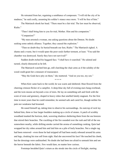He retreated from her, regaining a semblance of composure. "I will rid the city of its madness," he said coolly, assuming his soldier's stance once more. "I will be free of him."

The Matriarch shook her head. "There must be a fair trial. The law must be observed, Rialto<sup>"</sup>

"Then I shall bring him to you for trial, Mother. Him and his companion."

"Companion?"

"My men arrested a woman, one asking questions about the Demon. No doubt seeking some unholy alliance. Together, they caused the explosion."

"Then no doubt they lie buried beneath our feet, Rialto." The Matriarch sighed. A shame and a waste, but it would spare the poor souls further torment, at least. "You said the chamber was destroyed. Surely they have not survived?"

Sudden doubt etched his haggard face. "I shall have it searched." He saluted and turned, clearly distracted as he left.

The Matriarch watched him go, still clutching the chair arms as if the solidity of the wood could grant her a measure of reassurance.

"May the Gods have pity on them," she muttered. "And on you too, my son."

\* \* \* \*

When Keir came back to the world, he was warm and sheltered. Heat flowed from the cheering crimson flicker of a campfire. A deep-blue sky full of evening stars hung overhead, and the twin moons set beyond a row of trees. He lay on something soft and fresh with the scent of resin and greenery, draped in heavy robes that smelled faintly stagnant. For the first time in more years than he could remember, he seemed safe and cared for, though neither his pain nor weakness had lessened.

He eased himself up, taking time to observe his surroundings. An outcrop of rock lay behind him, three or four larger boulders making up a circle of stones. A patch of scrubby woodland masked the horizon, dark, wavering shadows sheltering them from the sea breezes that stirred their branches. The crackling of the fire sounded over the rush and fall of the sea somewhere nearby, while drifting smoke carried the aroma of something cooking. Quin had wrapped her dry robes around him and laid him on a pile of leafy branches. Not a single rag had been removed—even those he had stripped off had been neatly rebound around his arms and legs, cloaking his true self from sight. Had she uncovered his face? He touched his cheek, but the dressings were undisturbed. No doubt she had been too afraid to unmask him and see the horror beneath the fabric. Few would dare, no matter how curious.

Footsteps heralded Quin's return as she strode into the circle of firelight, starting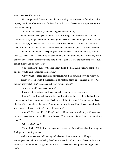when she noted Keir awake.

"How do you feel?" She crouched down, warming her hands on the fire with an air of urgency. With her robes sacrificed for his sake, her basic outfit seemed scant protection from the chilly evening.

"Grateful," he managed, and then coughed, his mouth dry.

She immediately stepped around the fire, proffering a small flask she must have summoned up by magic. Keir drank in deep gulps, the cool water soothing his throat. As he passed it back, Quin handed him a fist-sized fruit. Recognizing it, he moved the covering away from his mouth and ate. It was tart and somewhat under-ripe, but he relished each bite.

"I couldn't find much," she apologized, as he finished. "I didn't want to go too far with you unconscious. My supplies are back in the city, and it took me most of the day just to get you here. I wasn't sure if you were fit to move or even if it was the right thing to do, but I couldn't leave you on the beach."

"You could have." Keir lay back and stared into the flames, his strength spent. "No one else would have concerned themselves."

"Why?" Quin sounded genuinely bewildered. "Is there something wrong with you?"

He suppressed a laugh then regretted it as stabbing pains lanced across his ribs. "Do you not know what I am?" he demanded. "Are you not afraid?"

"Afraid of what? You saved my life."

"I would not have done so if I had stopped to think of what I was doing."

"Really?" Quin frowned, taking a long sip from the container as if she had no fear of contamination from sharing his drink. "Well, you did it all the same." She capped the flask. "Listen, if it's some kind of disease, I'm immune to most things. If not, I have some friends who can treat almost anything. They could help you."

"A cure?" This time, Keir did laugh, and could not make himself stop until tears wet the rags concealing his face and his chest burned. "Are they magicians? There is no cure for a curse!"

"What kind of curse?"

"The dark kind." Keir closed his eyes and covered his face with one hand, shutting the firelight out. Shutting *her* out.

He heard movement and knew Quin had come close. Before he could repeat his warning not to touch him, she had grabbed his arm and forced it aside so she could look him in the eye. The ferocity of her gaze froze him and silenced whatever protest he might have made.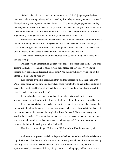"I don't believe in curses, and I'm not afraid of you. I don't judge anyone by how they look, only how they behave, and you saved my life today, whether you meant it or not." She spoke softly and urgently, her face close to his. "If your people judge you by what they believe you are instead of by what you do, I'm sorry for them, and for you." She paused as if considering something. "Come back with me and you'll have a very different life, I promise. If you don't, I think you're going to die, Keir, and that would be a waste."

Her words had an entrancing intensity and, for a moment, Keir saw a glimmer of what that other life might be like. Something seemed to pass between them as she held him, a sense of empathy, of kinship. Words drifted through his mind that he could not place as his own. *Outcast…alone…alone, like me.* Sorrow and bitterness bled into him.

Then he broke free from her grip and turned his face away. "You do not know what you are saying."

Quin sat by him a moment longer then went back to her spot beside the fire. She knelt close to the flames, reaching her hands toward their heat as she shivered. "Now you're judging me," she said, mild reproach in her tone. "You think I'm like everyone else on this planet. Couldn't you be wrong?"

Keir scorned giving her a reply, and they ate their inadequate meal in silence, with Quin's gaze never leaving him. Food gave Keir some strength, but he had little appetite for it even at her insistence. Despite all she had done for him, he could not quite bring himself to trust her. Why should she be different?

Eventually, she sighed and curled herself up between two rocks with her arms wrapped around herself. After a final lingering look he could not fathom, she closed her eyes.

Keir remained vigilant even as her face softened into sleep, staring at her through the orange veil of sinking flames and refusing to surrender to his exhaustion. What Fate had sent this odd woman to him, to save him despite his desire for death? She was no beauty, no goddess he recognized. Yet something strange had passed between them as she touched him, and now he felt bound to her. Was she an angel in human guise? Or some demon sent to torment him before delivering him to his final hell?

Unable to resist any longer, Keir's eyes slid shut as he drifted into an uneasy sleep.

\* \* \* \*

Rialto sat in his great carved chair, legs stretched out before him as he brooded over a cup of wine. His chamber was little more than an austere gray cell, one of many that made up the army barracks within the double walls of the palace. There was a plain, narrow bed against one wall, a table set with food, a long chest of his belongings, and his one luxury as